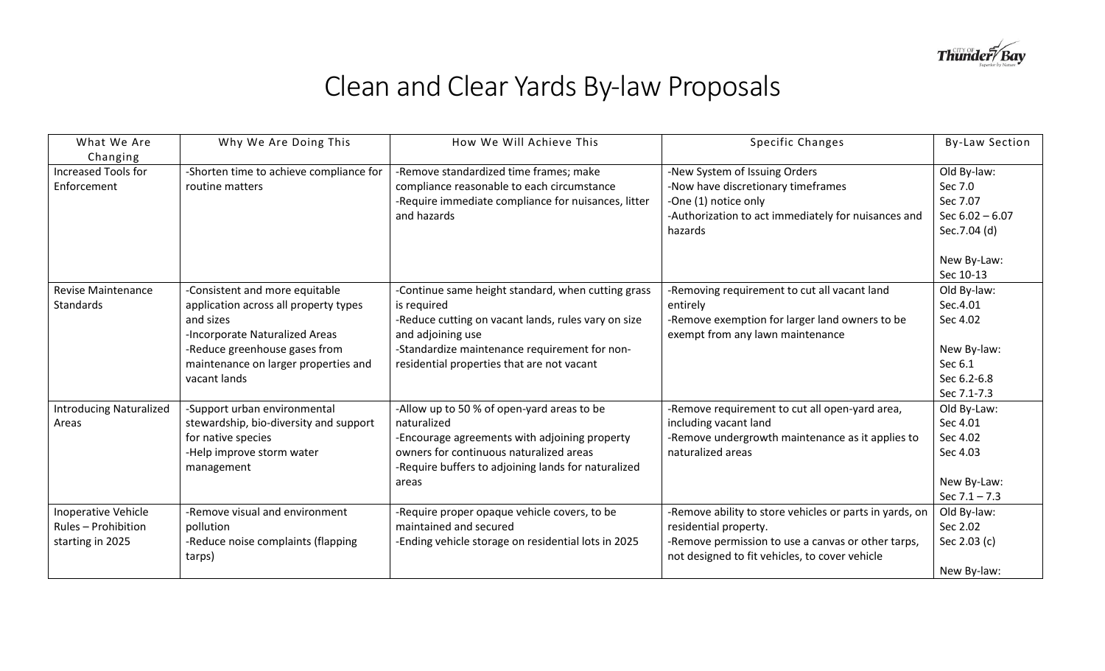

## Clean and Clear Yards By-law Proposals

| What We Are                                                    | Why We Are Doing This                                                                                                                                                                                           | How We Will Achieve This                                                                                                                                                                                                                     | Specific Changes                                                                                                                                                                         | <b>By-Law Section</b>                                                                       |
|----------------------------------------------------------------|-----------------------------------------------------------------------------------------------------------------------------------------------------------------------------------------------------------------|----------------------------------------------------------------------------------------------------------------------------------------------------------------------------------------------------------------------------------------------|------------------------------------------------------------------------------------------------------------------------------------------------------------------------------------------|---------------------------------------------------------------------------------------------|
| Changing                                                       |                                                                                                                                                                                                                 |                                                                                                                                                                                                                                              |                                                                                                                                                                                          |                                                                                             |
| <b>Increased Tools for</b><br>Enforcement                      | -Shorten time to achieve compliance for<br>routine matters                                                                                                                                                      | -Remove standardized time frames; make<br>compliance reasonable to each circumstance<br>-Require immediate compliance for nuisances, litter<br>and hazards                                                                                   | -New System of Issuing Orders<br>-Now have discretionary timeframes<br>-One (1) notice only<br>-Authorization to act immediately for nuisances and<br>hazards                            | Old By-law:<br>Sec 7.0<br>Sec 7.07<br>Sec $6.02 - 6.07$<br>Sec.7.04 (d)<br>New By-Law:      |
|                                                                |                                                                                                                                                                                                                 |                                                                                                                                                                                                                                              |                                                                                                                                                                                          | Sec 10-13                                                                                   |
| <b>Revise Maintenance</b><br><b>Standards</b>                  | -Consistent and more equitable<br>application across all property types<br>and sizes<br>-Incorporate Naturalized Areas<br>-Reduce greenhouse gases from<br>maintenance on larger properties and<br>vacant lands | -Continue same height standard, when cutting grass<br>is required<br>-Reduce cutting on vacant lands, rules vary on size<br>and adjoining use<br>-Standardize maintenance requirement for non-<br>residential properties that are not vacant | -Removing requirement to cut all vacant land<br>entirely<br>-Remove exemption for larger land owners to be<br>exempt from any lawn maintenance                                           | Old By-law:<br>Sec.4.01<br>Sec 4.02<br>New By-law:<br>Sec 6.1<br>Sec 6.2-6.8<br>Sec 7.1-7.3 |
| <b>Introducing Naturalized</b><br>Areas                        | -Support urban environmental<br>stewardship, bio-diversity and support<br>for native species<br>-Help improve storm water<br>management                                                                         | -Allow up to 50 % of open-yard areas to be<br>naturalized<br>-Encourage agreements with adjoining property<br>owners for continuous naturalized areas<br>-Require buffers to adjoining lands for naturalized<br>areas                        | -Remove requirement to cut all open-yard area,<br>including vacant land<br>-Remove undergrowth maintenance as it applies to<br>naturalized areas                                         | Old By-Law:<br>Sec 4.01<br>Sec 4.02<br>Sec 4.03<br>New By-Law:<br>Sec $7.1 - 7.3$           |
| Inoperative Vehicle<br>Rules - Prohibition<br>starting in 2025 | -Remove visual and environment<br>pollution<br>-Reduce noise complaints (flapping<br>tarps)                                                                                                                     | -Require proper opaque vehicle covers, to be<br>maintained and secured<br>-Ending vehicle storage on residential lots in 2025                                                                                                                | -Remove ability to store vehicles or parts in yards, on<br>residential property.<br>-Remove permission to use a canvas or other tarps,<br>not designed to fit vehicles, to cover vehicle | Old By-law:<br>Sec 2.02<br>Sec 2.03 (c)<br>New By-law:                                      |